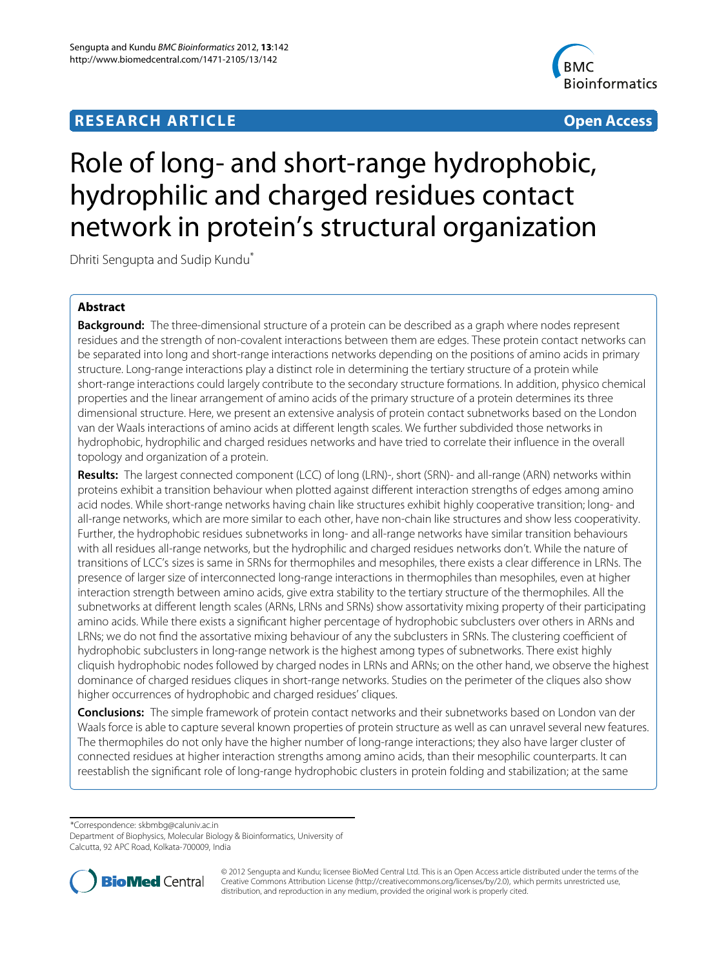## **RESEARCH ARTICLE Open Access**



# Role of long- and short-range hydrophobic, hydrophilic and charged residues contact network in protein's structural organization

Dhriti Sengupta and Sudip Kundu\*

## **Abstract**

**Background:** The three-dimensional structure of a protein can be described as a graph where nodes represent residues and the strength of non-covalent interactions between them are edges. These protein contact networks can be separated into long and short-range interactions networks depending on the positions of amino acids in primary structure. Long-range interactions play a distinct role in determining the tertiary structure of a protein while short-range interactions could largely contribute to the secondary structure formations. In addition, physico chemical properties and the linear arrangement of amino acids of the primary structure of a protein determines its three dimensional structure. Here, we present an extensive analysis of protein contact subnetworks based on the London van der Waals interactions of amino acids at different length scales. We further subdivided those networks in hydrophobic, hydrophilic and charged residues networks and have tried to correlate their influence in the overall topology and organization of a protein.

**Results:** The largest connected component (LCC) of long (LRN)-, short (SRN)- and all-range (ARN) networks within proteins exhibit a transition behaviour when plotted against different interaction strengths of edges among amino acid nodes. While short-range networks having chain like structures exhibit highly cooperative transition; long- and all-range networks, which are more similar to each other, have non-chain like structures and show less cooperativity. Further, the hydrophobic residues subnetworks in long- and all-range networks have similar transition behaviours with all residues all-range networks, but the hydrophilic and charged residues networks don't. While the nature of transitions of LCC's sizes is same in SRNs for thermophiles and mesophiles, there exists a clear difference in LRNs. The presence of larger size of interconnected long-range interactions in thermophiles than mesophiles, even at higher interaction strength between amino acids, give extra stability to the tertiary structure of the thermophiles. All the subnetworks at different length scales (ARNs, LRNs and SRNs) show assortativity mixing property of their participating amino acids. While there exists a significant higher percentage of hydrophobic subclusters over others in ARNs and LRNs; we do not find the assortative mixing behaviour of any the subclusters in SRNs. The clustering coefficient of hydrophobic subclusters in long-range network is the highest among types of subnetworks. There exist highly cliquish hydrophobic nodes followed by charged nodes in LRNs and ARNs; on the other hand, we observe the highest dominance of charged residues cliques in short-range networks. Studies on the perimeter of the cliques also show higher occurrences of hydrophobic and charged residues' cliques.

**Conclusions:** The simple framework of protein contact networks and their subnetworks based on London van der Waals force is able to capture several known properties of protein structure as well as can unravel several new features. The thermophiles do not only have the higher number of long-range interactions; they also have larger cluster of connected residues at higher interaction strengths among amino acids, than their mesophilic counterparts. It can reestablish the significant role of long-range hydrophobic clusters in protein folding and stabilization; at the same

\*Correspondence: skbmbg@caluniv.ac.in

Department of Biophysics, Molecular Biology & Bioinformatics, University of Calcutta, 92 APC Road, Kolkata-700009, India



© 2012 Sengupta and Kundu; licensee BioMed Central Ltd. This is an Open Access article distributed under the terms of the Creative Commons Attribution License (http://creativecommons.org/licenses/by/2.0), which permits unrestricted use, distribution, and reproduction in any medium, provided the original work is properly cited.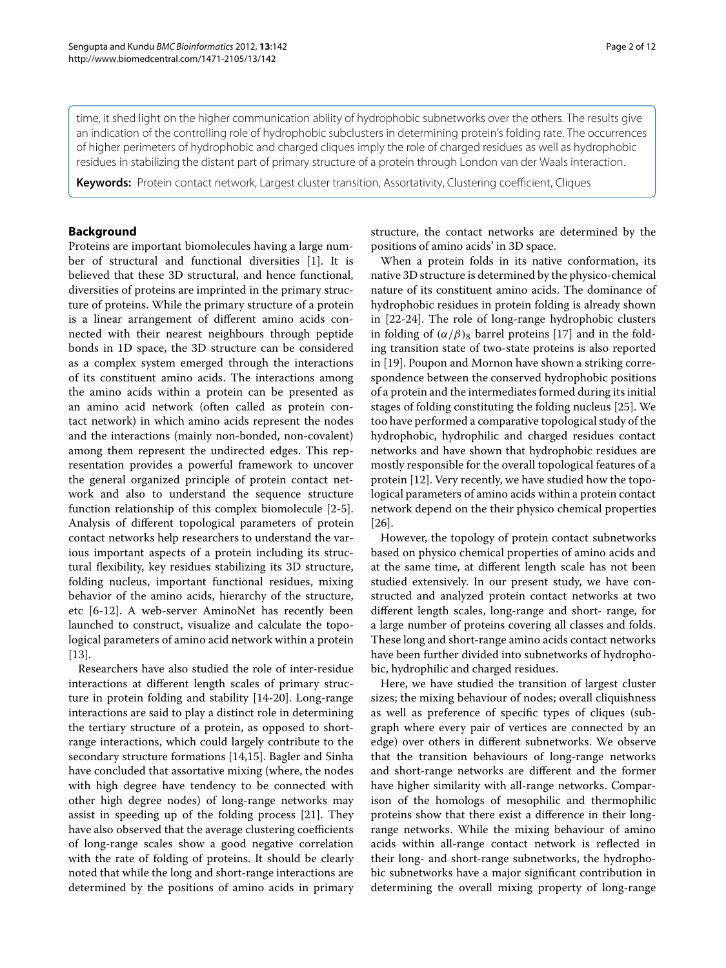time, it shed light on the higher communication ability of hydrophobic subnetworks over the others. The results give an indication of the controlling role of hydrophobic subclusters in determining protein's folding rate. The occurrences of higher perimeters of hydrophobic and charged cliques imply the role of charged residues as well as hydrophobic residues in stabilizing the distant part of primary structure of a protein through London van der Waals interaction.

**Keywords:** Protein contact network, Largest cluster transition, Assortativity, Clustering coefficient, Cliques

## **Background**

Proteins are important biomolecules having a large number of structural and functional diversities [\[1\]](#page-10-0). It is believed that these 3D structural, and hence functional, diversities of proteins are imprinted in the primary structure of proteins. While the primary structure of a protein is a linear arrangement of different amino acids connected with their nearest neighbours through peptide bonds in 1D space, the 3D structure can be considered as a complex system emerged through the interactions of its constituent amino acids. The interactions among the amino acids within a protein can be presented as an amino acid network (often called as protein contact network) in which amino acids represent the nodes and the interactions (mainly non-bonded, non-covalent) among them represent the undirected edges. This representation provides a powerful framework to uncover the general organized principle of protein contact network and also to understand the sequence structure function relationship of this complex biomolecule [\[2-](#page-10-1)[5\]](#page-10-2). Analysis of different topological parameters of protein contact networks help researchers to understand the various important aspects of a protein including its structural flexibility, key residues stabilizing its 3D structure, folding nucleus, important functional residues, mixing behavior of the amino acids, hierarchy of the structure, etc [\[6-](#page-10-3)[12\]](#page-10-4). A web-server AminoNet has recently been launched to construct, visualize and calculate the topological parameters of amino acid network within a protein [\[13\]](#page-10-5).

Researchers have also studied the role of inter-residue interactions at different length scales of primary structure in protein folding and stability [\[14-](#page-10-6)[20\]](#page-10-7). Long-range interactions are said to play a distinct role in determining the tertiary structure of a protein, as opposed to shortrange interactions, which could largely contribute to the secondary structure formations [\[14,](#page-10-6)[15\]](#page-10-8). Bagler and Sinha have concluded that assortative mixing (where, the nodes with high degree have tendency to be connected with other high degree nodes) of long-range networks may assist in speeding up of the folding process [\[21\]](#page-10-9). They have also observed that the average clustering coefficients of long-range scales show a good negative correlation with the rate of folding of proteins. It should be clearly noted that while the long and short-range interactions are determined by the positions of amino acids in primary

structure, the contact networks are determined by the positions of amino acids' in 3D space.

When a protein folds in its native conformation, its native 3D structure is determined by the physico-chemical nature of its constituent amino acids. The dominance of hydrophobic residues in protein folding is already shown in [\[22-](#page-10-10)[24\]](#page-10-11). The role of long-range hydrophobic clusters in folding of  $(\alpha/\beta)_8$  barrel proteins [\[17\]](#page-10-12) and in the folding transition state of two-state proteins is also reported in [\[19\]](#page-10-13). Poupon and Mornon have shown a striking correspondence between the conserved hydrophobic positions of a protein and the intermediates formed during its initial stages of folding constituting the folding nucleus [\[25\]](#page-10-14). We too have performed a comparative topological study of the hydrophobic, hydrophilic and charged residues contact networks and have shown that hydrophobic residues are mostly responsible for the overall topological features of a protein [\[12\]](#page-10-4). Very recently, we have studied how the topological parameters of amino acids within a protein contact network depend on the their physico chemical properties [\[26\]](#page-10-15).

However, the topology of protein contact subnetworks based on physico chemical properties of amino acids and at the same time, at different length scale has not been studied extensively. In our present study, we have constructed and analyzed protein contact networks at two different length scales, long-range and short- range, for a large number of proteins covering all classes and folds. These long and short-range amino acids contact networks have been further divided into subnetworks of hydrophobic, hydrophilic and charged residues.

Here, we have studied the transition of largest cluster sizes; the mixing behaviour of nodes; overall cliquishness as well as preference of specific types of cliques (subgraph where every pair of vertices are connected by an edge) over others in different subnetworks. We observe that the transition behaviours of long-range networks and short-range networks are different and the former have higher similarity with all-range networks. Comparison of the homologs of mesophilic and thermophilic proteins show that there exist a difference in their longrange networks. While the mixing behaviour of amino acids within all-range contact network is reflected in their long- and short-range subnetworks, the hydrophobic subnetworks have a major significant contribution in determining the overall mixing property of long-range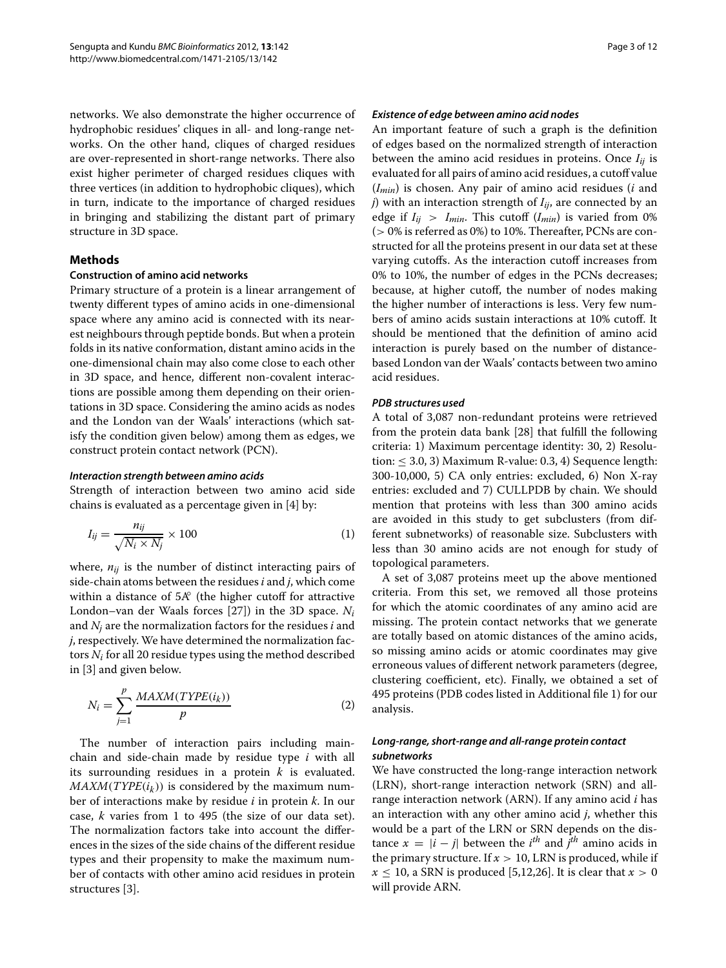networks. We also demonstrate the higher occurrence of hydrophobic residues' cliques in all- and long-range networks. On the other hand, cliques of charged residues are over-represented in short-range networks. There also exist higher perimeter of charged residues cliques with three vertices (in addition to hydrophobic cliques), which in turn, indicate to the importance of charged residues in bringing and stabilizing the distant part of primary structure in 3D space.

## <span id="page-2-0"></span>**Methods**

#### **Construction of amino acid networks**

Primary structure of a protein is a linear arrangement of twenty different types of amino acids in one-dimensional space where any amino acid is connected with its nearest neighbours through peptide bonds. But when a protein folds in its native conformation, distant amino acids in the one-dimensional chain may also come close to each other in 3D space, and hence, different non-covalent interactions are possible among them depending on their orientations in 3D space. Considering the amino acids as nodes and the London van der Waals' interactions (which satisfy the condition given below) among them as edges, we construct protein contact network (PCN).

#### *Interaction strength between amino acids*

Strength of interaction between two amino acid side chains is evaluated as a percentage given in [\[4\]](#page-10-16) by:

$$
I_{ij} = \frac{n_{ij}}{\sqrt{N_i \times N_j}} \times 100
$$
 (1)

where,  $n_{ij}$  is the number of distinct interacting pairs of side-chain atoms between the residues*i* and *j*, which come within a distance of 5A◦ (the higher cutoff for attractive London–van der Waals forces [\[27\]](#page-10-17)) in the 3D space. *Ni* and *Nj* are the normalization factors for the residues *i* and *j*, respectively. We have determined the normalization factors *Ni* for all 20 residue types using the method described in [\[3\]](#page-10-18) and given below.

$$
N_i = \sum_{j=1}^{p} \frac{MAXM(TYPE(i_k))}{p}
$$
 (2)

The number of interaction pairs including mainchain and side-chain made by residue type *i* with all its surrounding residues in a protein *k* is evaluated.  $MAXM(TYPE(i_k))$  is considered by the maximum number of interactions make by residue *i* in protein *k*. In our case, *k* varies from 1 to 495 (the size of our data set). The normalization factors take into account the differences in the sizes of the side chains of the different residue types and their propensity to make the maximum number of contacts with other amino acid residues in protein structures [\[3\]](#page-10-18).

#### *Existence of edge between amino acid nodes*

An important feature of such a graph is the definition of edges based on the normalized strength of interaction between the amino acid residues in proteins. Once *Iij* is evaluated for all pairs of amino acid residues, a cutoff value (*Imin*) is chosen. Any pair of amino acid residues (*i* and *j*) with an interaction strength of *Iij*, are connected by an edge if  $I_{ij} > I_{min}$ . This cutoff  $(I_{min})$  is varied from 0% (> 0% is referred as 0%) to 10%. Thereafter, PCNs are constructed for all the proteins present in our data set at these varying cutoffs. As the interaction cutoff increases from 0% to 10%, the number of edges in the PCNs decreases; because, at higher cutoff, the number of nodes making the higher number of interactions is less. Very few numbers of amino acids sustain interactions at 10% cutoff. It should be mentioned that the definition of amino acid interaction is purely based on the number of distancebased London van der Waals' contacts between two amino acid residues.

### *PDB structures used*

A total of 3,087 non-redundant proteins were retrieved from the protein data bank [\[28\]](#page-10-19) that fulfill the following criteria: 1) Maximum percentage identity: 30, 2) Resolution:  $\leq$  3.0, 3) Maximum R-value: 0.3, 4) Sequence length: 300-10,000, 5) CA only entries: excluded, 6) Non X-ray entries: excluded and 7) CULLPDB by chain. We should mention that proteins with less than 300 amino acids are avoided in this study to get subclusters (from different subnetworks) of reasonable size. Subclusters with less than 30 amino acids are not enough for study of topological parameters.

A set of 3,087 proteins meet up the above mentioned criteria. From this set, we removed all those proteins for which the atomic coordinates of any amino acid are missing. The protein contact networks that we generate are totally based on atomic distances of the amino acids, so missing amino acids or atomic coordinates may give erroneous values of different network parameters (degree, clustering coefficient, etc). Finally, we obtained a set of 495 proteins (PDB codes listed in Additional file [1\)](#page-10-20) for our analysis.

## *Long-range, short-range and all-range protein contact subnetworks*

We have constructed the long-range interaction network (LRN), short-range interaction network (SRN) and allrange interaction network (ARN). If any amino acid *i* has an interaction with any other amino acid *j*, whether this would be a part of the LRN or SRN depends on the distance  $x = |i - j|$  between the *i*<sup>th</sup> and *j*<sup>th</sup> amino acids in the primary structure. If  $x > 10$ , LRN is produced, while if  $x \le 10$ , a SRN is produced [\[5](#page-10-2)[,12](#page-10-4)[,26\]](#page-10-15). It is clear that  $x > 0$ will provide ARN.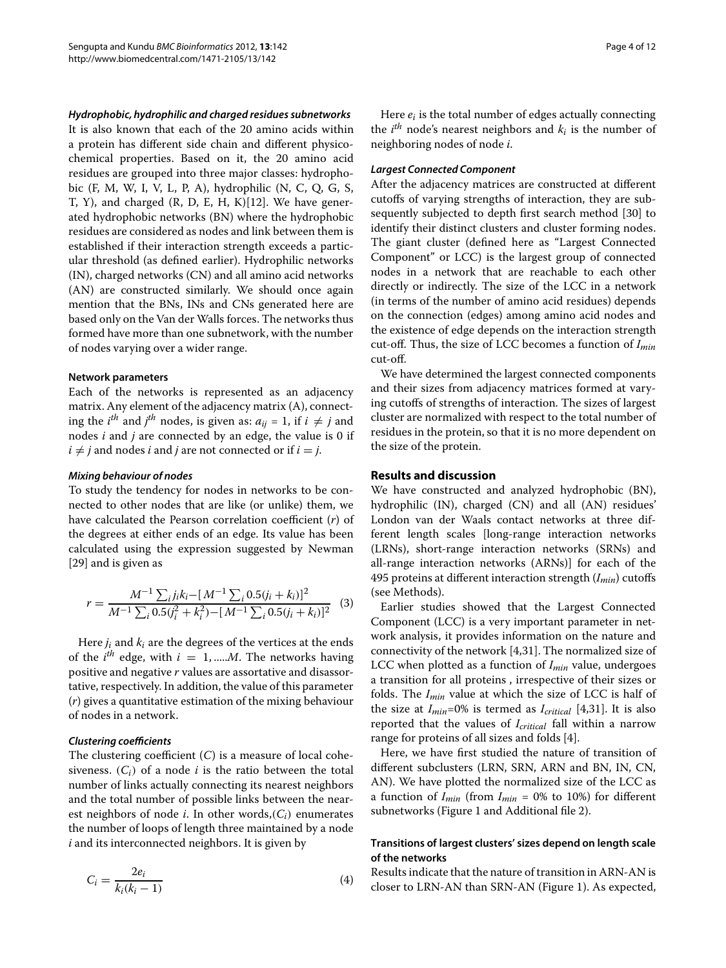*Hydrophobic, hydrophilic and charged residues subnetworks*

It is also known that each of the 20 amino acids within a protein has different side chain and different physicochemical properties. Based on it, the 20 amino acid residues are grouped into three major classes: hydrophobic (F, M, W, I, V, L, P, A), hydrophilic (N, C, Q, G, S, T, Y), and charged  $(R, D, E, H, K)[12]$  $(R, D, E, H, K)[12]$ . We have generated hydrophobic networks (BN) where the hydrophobic residues are considered as nodes and link between them is established if their interaction strength exceeds a particular threshold (as defined earlier). Hydrophilic networks (IN), charged networks (CN) and all amino acid networks (AN) are constructed similarly. We should once again mention that the BNs, INs and CNs generated here are based only on the Van der Walls forces. The networks thus formed have more than one subnetwork, with the number of nodes varying over a wider range.

#### **Network parameters**

Each of the networks is represented as an adjacency matrix. Any element of the adjacency matrix (A), connecting the *i*<sup>th</sup> and *j*<sup>th</sup> nodes, is given as:  $a_{ij} = 1$ , if  $i \neq j$  and nodes *i* and *j* are connected by an edge, the value is 0 if  $i \neq j$  and nodes *i* and *j* are not connected or if  $i = j$ .

#### *Mixing behaviour of nodes*

To study the tendency for nodes in networks to be connected to other nodes that are like (or unlike) them, we have calculated the Pearson correlation coefficient (*r*) of the degrees at either ends of an edge. Its value has been calculated using the expression suggested by Newman [\[29\]](#page-10-21) and is given as

$$
r = \frac{M^{-1} \sum_{i} j_{i} k_{i} - [M^{-1} \sum_{i} 0.5(j_{i} + k_{i})]^{2}}{M^{-1} \sum_{i} 0.5(j_{i}^{2} + k_{i}^{2}) - [M^{-1} \sum_{i} 0.5(j_{i} + k_{i})]^{2}}
$$
(3)

Here  $j_i$  and  $k_i$  are the degrees of the vertices at the ends of the  $i^{th}$  edge, with  $i = 1, \dots M$ . The networks having positive and negative *r* values are assortative and disassortative, respectively. In addition, the value of this parameter (*r*) gives a quantitative estimation of the mixing behaviour of nodes in a network.

#### *Clustering coefficients*

The clustering coefficient (*C*) is a measure of local cohesiveness. (*Ci*) of a node *i* is the ratio between the total number of links actually connecting its nearest neighbors and the total number of possible links between the nearest neighbors of node *i*. In other words,  $(C_i)$  enumerates the number of loops of length three maintained by a node *i* and its interconnected neighbors. It is given by

$$
C_i = \frac{2e_i}{k_i(k_i - 1)}\tag{4}
$$

Here *ei* is the total number of edges actually connecting the  $i^{th}$  node's nearest neighbors and  $k_i$  is the number of neighboring nodes of node *i*.

#### *Largest Connected Component*

After the adjacency matrices are constructed at different cutoffs of varying strengths of interaction, they are subsequently subjected to depth first search method [\[30\]](#page-10-22) to identify their distinct clusters and cluster forming nodes. The giant cluster (defined here as "Largest Connected Component" or LCC) is the largest group of connected nodes in a network that are reachable to each other directly or indirectly. The size of the LCC in a network (in terms of the number of amino acid residues) depends on the connection (edges) among amino acid nodes and the existence of edge depends on the interaction strength cut-off. Thus, the size of LCC becomes a function of *Imin* cut-off.

We have determined the largest connected components and their sizes from adjacency matrices formed at varying cutoffs of strengths of interaction. The sizes of largest cluster are normalized with respect to the total number of residues in the protein, so that it is no more dependent on the size of the protein.

## **Results and discussion**

We have constructed and analyzed hydrophobic (BN), hydrophilic (IN), charged (CN) and all (AN) residues' London van der Waals contact networks at three different length scales [long-range interaction networks (LRNs), short-range interaction networks (SRNs) and all-range interaction networks (ARNs)] for each of the 495 proteins at different interaction strength (*Imin*) cutoffs (see [Methods\)](#page-2-0).

Earlier studies showed that the Largest Connected Component (LCC) is a very important parameter in network analysis, it provides information on the nature and connectivity of the network [\[4](#page-10-16)[,31\]](#page-10-23). The normalized size of LCC when plotted as a function of *Imin* value, undergoes a transition for all proteins , irrespective of their sizes or folds. The *Imin* value at which the size of LCC is half of the size at *Imin*=0% is termed as *Icritical* [\[4,](#page-10-16)[31\]](#page-10-23). It is also reported that the values of *Icritical* fall within a narrow range for proteins of all sizes and folds [\[4\]](#page-10-16).

Here, we have first studied the nature of transition of different subclusters (LRN, SRN, ARN and BN, IN, CN, AN). We have plotted the normalized size of the LCC as a function of  $I_{min}$  (from  $I_{min} = 0\%$  to 10%) for different subnetworks (Figure [1](#page-4-0) and Additional file [2\)](#page-10-24).

## **Transitions of largest clusters' sizes depend on length scale of the networks**

Results indicate that the nature of transition in ARN-AN is closer to LRN-AN than SRN-AN (Figure [1\)](#page-4-0). As expected,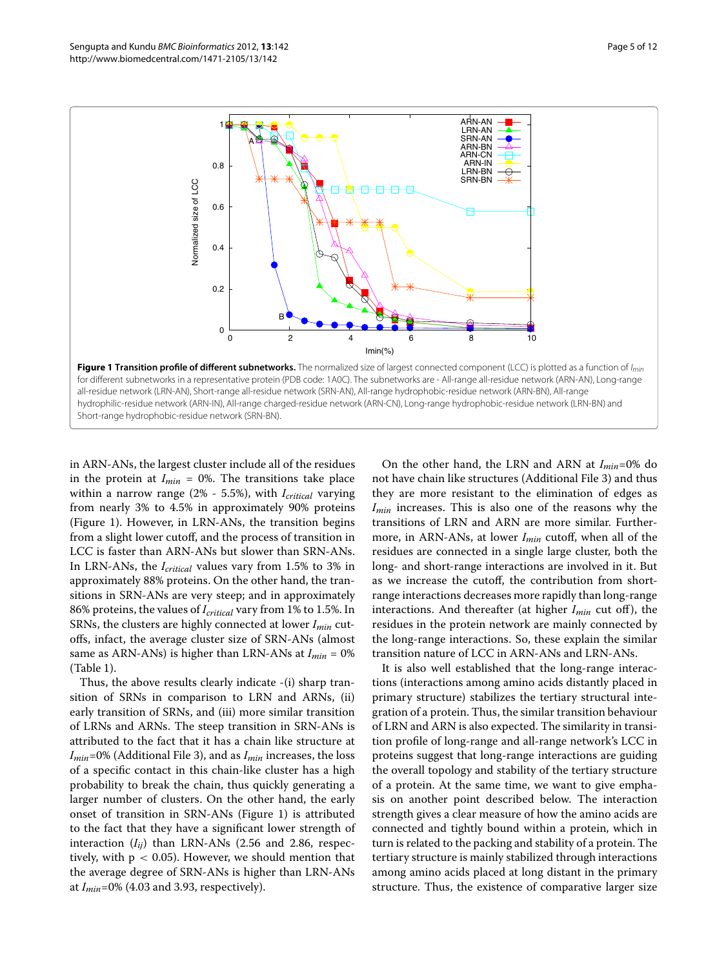

<span id="page-4-0"></span>in ARN-ANs, the largest cluster include all of the residues in the protein at  $I_{min} = 0\%$ . The transitions take place within a narrow range (2% - 5.5%), with *Icritical* varying from nearly 3% to 4.5% in approximately 90% proteins (Figure [1\)](#page-4-0). However, in LRN-ANs, the transition begins from a slight lower cutoff, and the process of transition in LCC is faster than ARN-ANs but slower than SRN-ANs. In LRN-ANs, the *Icritical* values vary from 1.5% to 3% in approximately 88% proteins. On the other hand, the transitions in SRN-ANs are very steep; and in approximately 86% proteins, the values of *Icritical* vary from 1% to 1.5%. In SRNs, the clusters are highly connected at lower *Imin* cutoffs, infact, the average cluster size of SRN-ANs (almost same as ARN-ANs) is higher than LRN-ANs at  $I_{min} = 0\%$ (Table [1\)](#page-5-0).

Thus, the above results clearly indicate -(i) sharp transition of SRNs in comparison to LRN and ARNs, (ii) early transition of SRNs, and (iii) more similar transition of LRNs and ARNs. The steep transition in SRN-ANs is attributed to the fact that it has a chain like structure at *Imin*=0% (Additional File [3\)](#page-10-25), and as *Imin* increases, the loss of a specific contact in this chain-like cluster has a high probability to break the chain, thus quickly generating a larger number of clusters. On the other hand, the early onset of transition in SRN-ANs (Figure [1\)](#page-4-0) is attributed to the fact that they have a significant lower strength of interaction  $(I_{ii})$  than LRN-ANs (2.56 and 2.86, respectively, with  $p < 0.05$ ). However, we should mention that the average degree of SRN-ANs is higher than LRN-ANs at *Imin*=0% (4.03 and 3.93, respectively).

On the other hand, the LRN and ARN at *Imin*=0% do not have chain like structures (Additional File [3\)](#page-10-25) and thus they are more resistant to the elimination of edges as *Imin* increases. This is also one of the reasons why the transitions of LRN and ARN are more similar. Furthermore, in ARN-ANs, at lower *Imin* cutoff, when all of the residues are connected in a single large cluster, both the long- and short-range interactions are involved in it. But as we increase the cutoff, the contribution from shortrange interactions decreases more rapidly than long-range interactions. And thereafter (at higher *I<sub>min</sub>* cut off), the residues in the protein network are mainly connected by the long-range interactions. So, these explain the similar transition nature of LCC in ARN-ANs and LRN-ANs.

It is also well established that the long-range interactions (interactions among amino acids distantly placed in primary structure) stabilizes the tertiary structural integration of a protein. Thus, the similar transition behaviour of LRN and ARN is also expected. The similarity in transition profile of long-range and all-range network's LCC in proteins suggest that long-range interactions are guiding the overall topology and stability of the tertiary structure of a protein. At the same time, we want to give emphasis on another point described below. The interaction strength gives a clear measure of how the amino acids are connected and tightly bound within a protein, which in turn is related to the packing and stability of a protein. The tertiary structure is mainly stabilized through interactions among amino acids placed at long distant in the primary structure. Thus, the existence of comparative larger size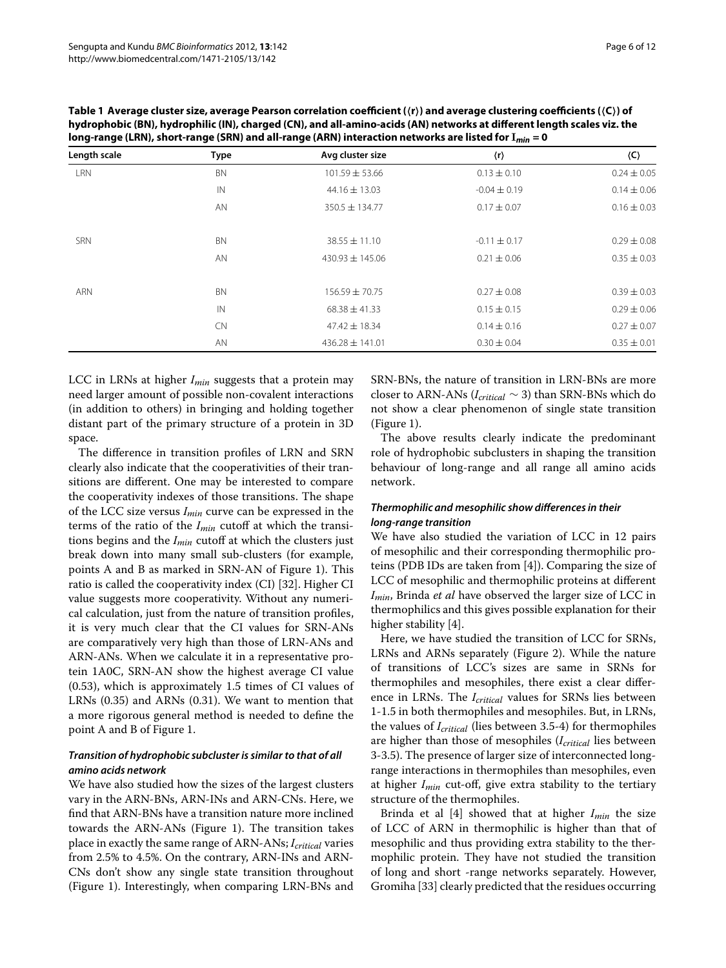| Length scale | Type      | Avg cluster size    | $\langle r \rangle$ | $\langle C \rangle$ |
|--------------|-----------|---------------------|---------------------|---------------------|
| <b>LRN</b>   | <b>BN</b> | $101.59 \pm 53.66$  | $0.13 \pm 0.10$     | $0.24 \pm 0.05$     |
|              | IN        | $44.16 \pm 13.03$   | $-0.04 \pm 0.19$    | $0.14 \pm 0.06$     |
|              | AN        | $350.5 \pm 134.77$  | $0.17 \pm 0.07$     | $0.16 \pm 0.03$     |
| <b>SRN</b>   | <b>BN</b> | $38.55 \pm 11.10$   | $-0.11 \pm 0.17$    | $0.29 \pm 0.08$     |
|              | <b>AN</b> | $430.93 \pm 145.06$ | $0.21 \pm 0.06$     | $0.35 \pm 0.03$     |
| <b>ARN</b>   | <b>BN</b> | $156.59 \pm 70.75$  | $0.27 \pm 0.08$     | $0.39 \pm 0.03$     |
|              | IN        | $68.38 \pm 41.33$   | $0.15 \pm 0.15$     | $0.29 \pm 0.06$     |
|              | <b>CN</b> | $47.42 \pm 18.34$   | $0.14 \pm 0.16$     | $0.27 \pm 0.07$     |
|              | AN        | $436.28 \pm 141.01$ | $0.30 \pm 0.04$     | $0.35 \pm 0.01$     |

<span id="page-5-0"></span>**Table 1 Average cluster size, average Pearson correlation coefficient (-r) and average clustering coefficients (-C) of hydrophobic (BN), hydrophilic (IN), charged (CN), and all-amino-acids (AN) networks at different length scales viz. the long-range (LRN), short-range (SRN) and all-range (ARN) interaction networks are listed for I***min* **= 0**

LCC in LRNs at higher *Imin* suggests that a protein may need larger amount of possible non-covalent interactions (in addition to others) in bringing and holding together distant part of the primary structure of a protein in 3D space.

The difference in transition profiles of LRN and SRN clearly also indicate that the cooperativities of their transitions are different. One may be interested to compare the cooperativity indexes of those transitions. The shape of the LCC size versus *Imin* curve can be expressed in the terms of the ratio of the *Imin* cutoff at which the transitions begins and the *Imin* cutoff at which the clusters just break down into many small sub-clusters (for example, points A and B as marked in SRN-AN of Figure [1\)](#page-4-0). This ratio is called the cooperativity index (CI) [\[32\]](#page-10-26). Higher CI value suggests more cooperativity. Without any numerical calculation, just from the nature of transition profiles, it is very much clear that the CI values for SRN-ANs are comparatively very high than those of LRN-ANs and ARN-ANs. When we calculate it in a representative protein 1A0C, SRN-AN show the highest average CI value (0.53), which is approximately 1.5 times of CI values of LRNs (0.35) and ARNs (0.31). We want to mention that a more rigorous general method is needed to define the point A and B of Figure [1.](#page-4-0)

## *Transition of hydrophobic subcluster is similar to that of all amino acids network*

We have also studied how the sizes of the largest clusters vary in the ARN-BNs, ARN-INs and ARN-CNs. Here, we find that ARN-BNs have a transition nature more inclined towards the ARN-ANs (Figure [1\)](#page-4-0). The transition takes place in exactly the same range of ARN-ANs; *Icritical* varies from 2.5% to 4.5%. On the contrary, ARN-INs and ARN-CNs don't show any single state transition throughout (Figure [1\)](#page-4-0). Interestingly, when comparing LRN-BNs and

SRN-BNs, the nature of transition in LRN-BNs are more closer to ARN-ANs (*Icritical* <sup>∼</sup> 3) than SRN-BNs which do not show a clear phenomenon of single state transition (Figure [1\)](#page-4-0).

The above results clearly indicate the predominant role of hydrophobic subclusters in shaping the transition behaviour of long-range and all range all amino acids network.

## *Thermophilic and mesophilic show differences in their long-range transition*

We have also studied the variation of LCC in 12 pairs of mesophilic and their corresponding thermophilic proteins (PDB IDs are taken from [\[4\]](#page-10-16)). Comparing the size of LCC of mesophilic and thermophilic proteins at different *Imin*, Brinda *et al* have observed the larger size of LCC in thermophilics and this gives possible explanation for their higher stability [\[4\]](#page-10-16).

Here, we have studied the transition of LCC for SRNs, LRNs and ARNs separately (Figure [2\)](#page-6-0). While the nature of transitions of LCC's sizes are same in SRNs for thermophiles and mesophiles, there exist a clear difference in LRNs. The *Icritical* values for SRNs lies between 1-1.5 in both thermophiles and mesophiles. But, in LRNs, the values of *Icritical* (lies between 3.5-4) for thermophiles are higher than those of mesophiles (*Icritical* lies between 3-3.5). The presence of larger size of interconnected longrange interactions in thermophiles than mesophiles, even at higher *Imin* cut-off, give extra stability to the tertiary structure of the thermophiles.

Brinda et al [\[4\]](#page-10-16) showed that at higher *Imin* the size of LCC of ARN in thermophilic is higher than that of mesophilic and thus providing extra stability to the thermophilic protein. They have not studied the transition of long and short -range networks separately. However, Gromiha [\[33\]](#page-10-27) clearly predicted that the residues occurring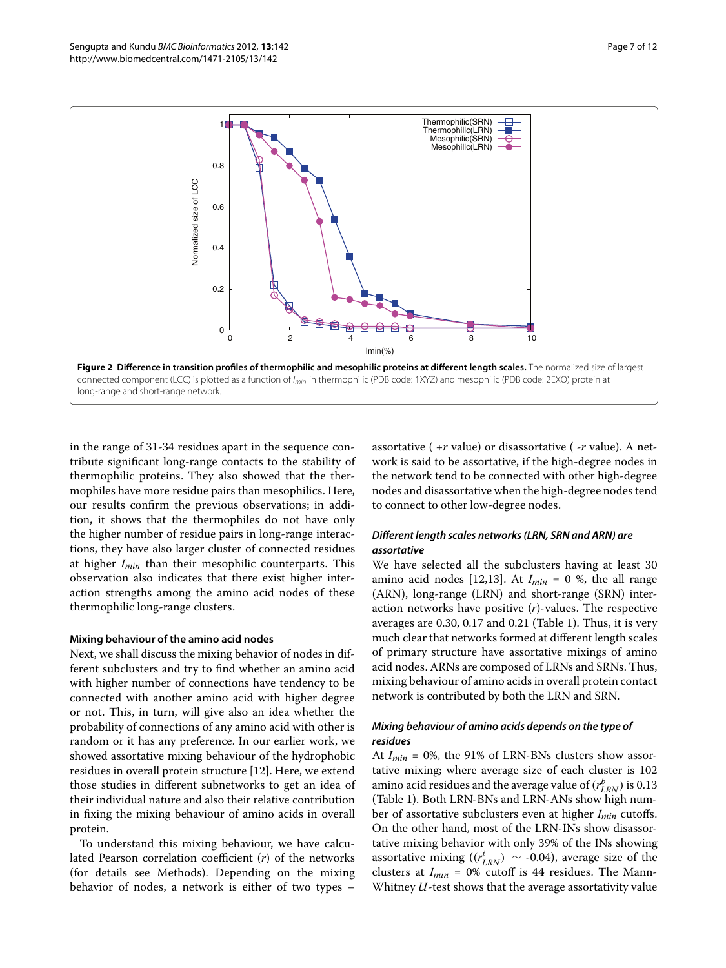

<span id="page-6-0"></span>in the range of 31-34 residues apart in the sequence contribute significant long-range contacts to the stability of thermophilic proteins. They also showed that the thermophiles have more residue pairs than mesophilics. Here, our results confirm the previous observations; in addition, it shows that the thermophiles do not have only the higher number of residue pairs in long-range interactions, they have also larger cluster of connected residues at higher *Imin* than their mesophilic counterparts. This observation also indicates that there exist higher interaction strengths among the amino acid nodes of these thermophilic long-range clusters.

#### **Mixing behaviour of the amino acid nodes**

Next, we shall discuss the mixing behavior of nodes in different subclusters and try to find whether an amino acid with higher number of connections have tendency to be connected with another amino acid with higher degree or not. This, in turn, will give also an idea whether the probability of connections of any amino acid with other is random or it has any preference. In our earlier work, we showed assortative mixing behaviour of the hydrophobic residues in overall protein structure [\[12\]](#page-10-4). Here, we extend those studies in different subnetworks to get an idea of their individual nature and also their relative contribution in fixing the mixing behaviour of amino acids in overall protein.

To understand this mixing behaviour, we have calculated Pearson correlation coefficient (*r*) of the networks (for details see [Methods\)](#page-2-0). Depending on the mixing behavior of nodes, a network is either of two types –

assortative ( +*r* value) or disassortative ( -*r* value). A network is said to be assortative, if the high-degree nodes in the network tend to be connected with other high-degree nodes and disassortative when the high-degree nodes tend to connect to other low-degree nodes.

## *Different length scales networks (LRN, SRN and ARN) are assortative*

We have selected all the subclusters having at least 30 amino acid nodes [\[12,](#page-10-4)[13\]](#page-10-5). At  $I_{min} = 0$  %, the all range (ARN), long-range (LRN) and short-range (SRN) interaction networks have positive (*r*)-values. The respective averages are 0.30, 0.17 and 0.21 (Table [1\)](#page-5-0). Thus, it is very much clear that networks formed at different length scales of primary structure have assortative mixings of amino acid nodes. ARNs are composed of LRNs and SRNs. Thus, mixing behaviour of amino acids in overall protein contact network is contributed by both the LRN and SRN.

## *Mixing behaviour of amino acids depends on the type of residues*

At *Imin* = 0%, the 91% of LRN-BNs clusters show assortative mixing; where average size of each cluster is 102 amino acid residues and the average value of  $(r_{LRN}^b)$  is 0.13 (Table [1\)](#page-5-0). Both LRN-BNs and LRN-ANs show high number of assortative subclusters even at higher *Imin* cutoffs. On the other hand, most of the LRN-INs show disassortative mixing behavior with only 39% of the INs showing assortative mixing  $((r_{LRN}^i) \sim -0.04)$ , average size of the clusters at  $I_{min} = 0\%$  cutoff is 44 residues. The Mann-Whitney *U*-test shows that the average assortativity value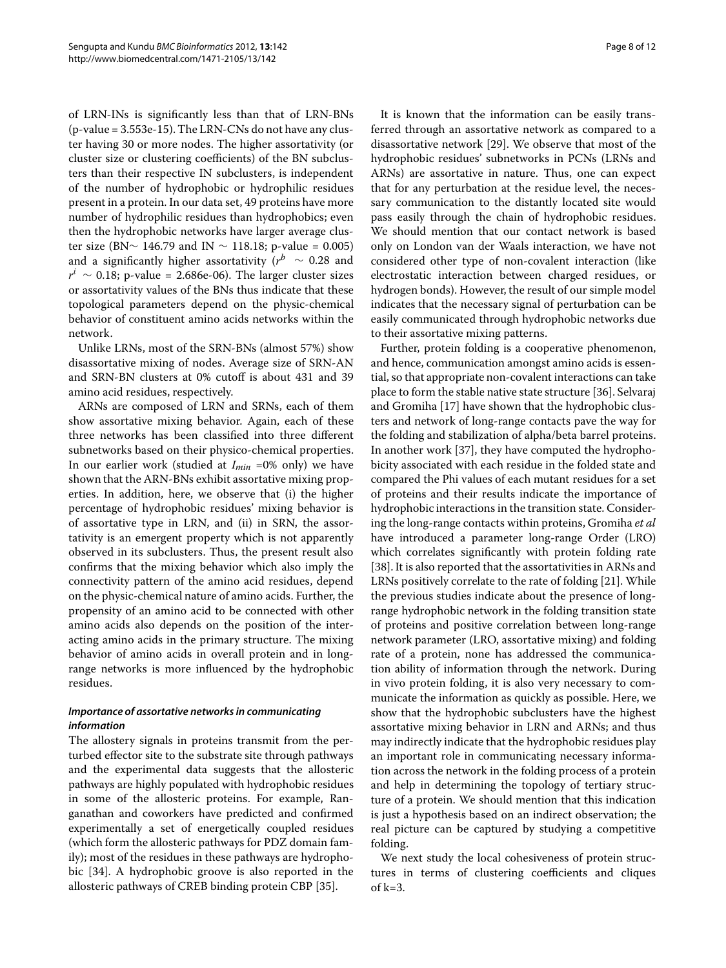of LRN-INs is significantly less than that of LRN-BNs (p-value = 3.553e-15). The LRN-CNs do not have any cluster having 30 or more nodes. The higher assortativity (or cluster size or clustering coefficients) of the BN subclusters than their respective IN subclusters, is independent of the number of hydrophobic or hydrophilic residues present in a protein. In our data set, 49 proteins have more number of hydrophilic residues than hydrophobics; even then the hydrophobic networks have larger average cluster size (BN∼ 146.79 and IN ∼ 118.18; p-value = 0.005) and a significantly higher assortativity ( $r^b \sim 0.28$  and  $r^i$  ∼ 0.18; p-value = 2.686e-06). The larger cluster sizes or assortativity values of the BNs thus indicate that these topological parameters depend on the physic-chemical behavior of constituent amino acids networks within the network.

Unlike LRNs, most of the SRN-BNs (almost 57%) show disassortative mixing of nodes. Average size of SRN-AN and SRN-BN clusters at 0% cutoff is about 431 and 39 amino acid residues, respectively.

ARNs are composed of LRN and SRNs, each of them show assortative mixing behavior. Again, each of these three networks has been classified into three different subnetworks based on their physico-chemical properties. In our earlier work (studied at *Imin* =0% only) we have shown that the ARN-BNs exhibit assortative mixing properties. In addition, here, we observe that (i) the higher percentage of hydrophobic residues' mixing behavior is of assortative type in LRN, and (ii) in SRN, the assortativity is an emergent property which is not apparently observed in its subclusters. Thus, the present result also confirms that the mixing behavior which also imply the connectivity pattern of the amino acid residues, depend on the physic-chemical nature of amino acids. Further, the propensity of an amino acid to be connected with other amino acids also depends on the position of the interacting amino acids in the primary structure. The mixing behavior of amino acids in overall protein and in longrange networks is more influenced by the hydrophobic residues.

## *Importance of assortative networks in communicating information*

The allostery signals in proteins transmit from the perturbed effector site to the substrate site through pathways and the experimental data suggests that the allosteric pathways are highly populated with hydrophobic residues in some of the allosteric proteins. For example, Ranganathan and coworkers have predicted and confirmed experimentally a set of energetically coupled residues (which form the allosteric pathways for PDZ domain family); most of the residues in these pathways are hydrophobic [\[34\]](#page-10-28). A hydrophobic groove is also reported in the allosteric pathways of CREB binding protein CBP [\[35\]](#page-11-0).

It is known that the information can be easily transferred through an assortative network as compared to a disassortative network [\[29\]](#page-10-21). We observe that most of the hydrophobic residues' subnetworks in PCNs (LRNs and ARNs) are assortative in nature. Thus, one can expect that for any perturbation at the residue level, the necessary communication to the distantly located site would pass easily through the chain of hydrophobic residues. We should mention that our contact network is based only on London van der Waals interaction, we have not considered other type of non-covalent interaction (like electrostatic interaction between charged residues, or hydrogen bonds). However, the result of our simple model indicates that the necessary signal of perturbation can be easily communicated through hydrophobic networks due to their assortative mixing patterns.

Further, protein folding is a cooperative phenomenon, and hence, communication amongst amino acids is essential, so that appropriate non-covalent interactions can take place to form the stable native state structure [\[36\]](#page-11-1). Selvaraj and Gromiha [\[17\]](#page-10-12) have shown that the hydrophobic clusters and network of long-range contacts pave the way for the folding and stabilization of alpha/beta barrel proteins. In another work [\[37\]](#page-11-2), they have computed the hydrophobicity associated with each residue in the folded state and compared the Phi values of each mutant residues for a set of proteins and their results indicate the importance of hydrophobic interactions in the transition state. Considering the long-range contacts within proteins, Gromiha *et al* have introduced a parameter long-range Order (LRO) which correlates significantly with protein folding rate [\[38\]](#page-11-3). It is also reported that the assortativities in ARNs and LRNs positively correlate to the rate of folding [\[21\]](#page-10-9). While the previous studies indicate about the presence of longrange hydrophobic network in the folding transition state of proteins and positive correlation between long-range network parameter (LRO, assortative mixing) and folding rate of a protein, none has addressed the communication ability of information through the network. During in vivo protein folding, it is also very necessary to communicate the information as quickly as possible. Here, we show that the hydrophobic subclusters have the highest assortative mixing behavior in LRN and ARNs; and thus may indirectly indicate that the hydrophobic residues play an important role in communicating necessary information across the network in the folding process of a protein and help in determining the topology of tertiary structure of a protein. We should mention that this indication is just a hypothesis based on an indirect observation; the real picture can be captured by studying a competitive folding.

We next study the local cohesiveness of protein structures in terms of clustering coefficients and cliques of  $k=3$ .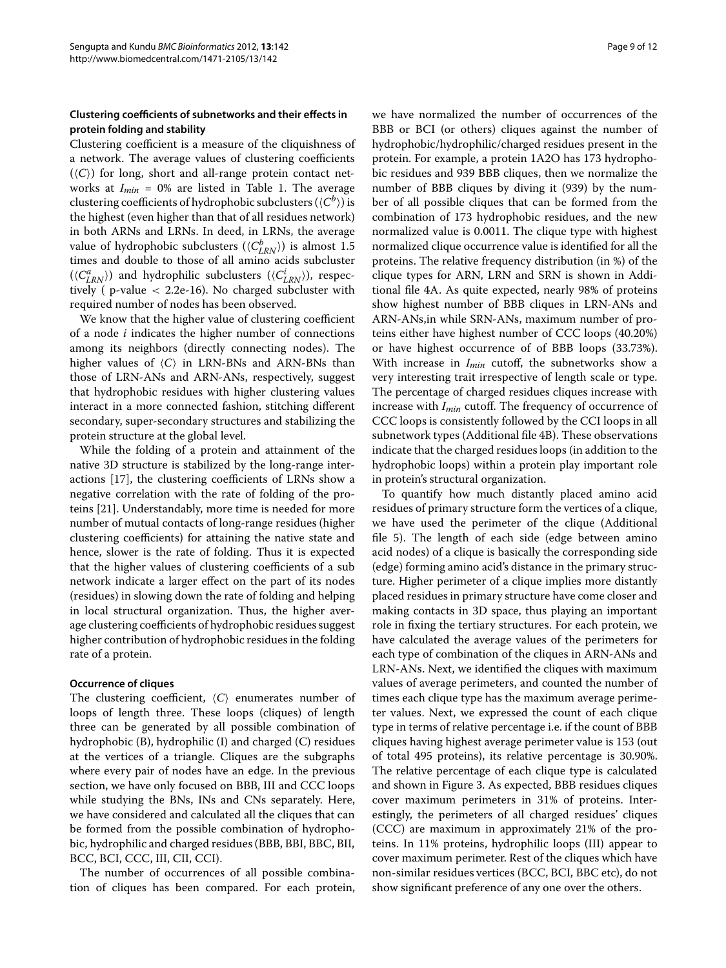## **Clustering coefficients of subnetworks and their effects in protein folding and stability**

Clustering coefficient is a measure of the cliquishness of a network. The average values of clustering coefficients  $(\langle C \rangle)$  for long, short and all-range protein contact networks at  $I_{min} = 0\%$  are listed in Table [1.](#page-5-0) The average clustering coefficients of hydrophobic subclusters  $(\langle C^b \rangle)$  is the highest (even higher than that of all residues network) in both ARNs and LRNs. In deed, in LRNs, the average value of hydrophobic subclusters ( $\langle C_{LRN}^{b} \rangle$ ) is almost 1.5 times and double to those of all amino acids subcluster  $(\langle C_{LRN}^a \rangle)$  and hydrophilic subclusters  $(\langle C_{LRN}^i \rangle)$ , respectively ( $p$ -value  $\langle 2.2e-16 \rangle$ ). No charged subcluster with required number of nodes has been observed.

We know that the higher value of clustering coefficient of a node *i* indicates the higher number of connections among its neighbors (directly connecting nodes). The higher values of  $\langle C \rangle$  in LRN-BNs and ARN-BNs than those of LRN-ANs and ARN-ANs, respectively, suggest that hydrophobic residues with higher clustering values interact in a more connected fashion, stitching different secondary, super-secondary structures and stabilizing the protein structure at the global level.

While the folding of a protein and attainment of the native 3D structure is stabilized by the long-range interactions [\[17\]](#page-10-12), the clustering coefficients of LRNs show a negative correlation with the rate of folding of the proteins [\[21\]](#page-10-9). Understandably, more time is needed for more number of mutual contacts of long-range residues (higher clustering coefficients) for attaining the native state and hence, slower is the rate of folding. Thus it is expected that the higher values of clustering coefficients of a sub network indicate a larger effect on the part of its nodes (residues) in slowing down the rate of folding and helping in local structural organization. Thus, the higher average clustering coefficients of hydrophobic residues suggest higher contribution of hydrophobic residues in the folding rate of a protein.

#### **Occurrence of cliques**

The clustering coefficient,  $\langle C \rangle$  enumerates number of loops of length three. These loops (cliques) of length three can be generated by all possible combination of hydrophobic (B), hydrophilic (I) and charged (C) residues at the vertices of a triangle. Cliques are the subgraphs where every pair of nodes have an edge. In the previous section, we have only focused on BBB, III and CCC loops while studying the BNs, INs and CNs separately. Here, we have considered and calculated all the cliques that can be formed from the possible combination of hydrophobic, hydrophilic and charged residues (BBB, BBI, BBC, BII, BCC, BCI, CCC, III, CII, CCI).

The number of occurrences of all possible combination of cliques has been compared. For each protein, we have normalized the number of occurrences of the BBB or BCI (or others) cliques against the number of hydrophobic/hydrophilic/charged residues present in the protein. For example, a protein 1A2O has 173 hydrophobic residues and 939 BBB cliques, then we normalize the number of BBB cliques by diving it (939) by the number of all possible cliques that can be formed from the combination of 173 hydrophobic residues, and the new normalized value is 0.0011. The clique type with highest normalized clique occurrence value is identified for all the proteins. The relative frequency distribution (in %) of the clique types for ARN, LRN and SRN is shown in Additional file [4A](#page-10-29). As quite expected, nearly 98% of proteins show highest number of BBB cliques in LRN-ANs and ARN-ANs,in while SRN-ANs, maximum number of proteins either have highest number of CCC loops (40.20%) or have highest occurrence of of BBB loops (33.73%). With increase in *Imin* cutoff, the subnetworks show a very interesting trait irrespective of length scale or type. The percentage of charged residues cliques increase with increase with *Imin* cutoff. The frequency of occurrence of CCC loops is consistently followed by the CCI loops in all subnetwork types (Additional file [4B](#page-10-29)). These observations indicate that the charged residues loops (in addition to the hydrophobic loops) within a protein play important role in protein's structural organization.

To quantify how much distantly placed amino acid residues of primary structure form the vertices of a clique, we have used the perimeter of the clique (Additional file [5\)](#page-10-30). The length of each side (edge between amino acid nodes) of a clique is basically the corresponding side (edge) forming amino acid's distance in the primary structure. Higher perimeter of a clique implies more distantly placed residues in primary structure have come closer and making contacts in 3D space, thus playing an important role in fixing the tertiary structures. For each protein, we have calculated the average values of the perimeters for each type of combination of the cliques in ARN-ANs and LRN-ANs. Next, we identified the cliques with maximum values of average perimeters, and counted the number of times each clique type has the maximum average perimeter values. Next, we expressed the count of each clique type in terms of relative percentage i.e. if the count of BBB cliques having highest average perimeter value is 153 (out of total 495 proteins), its relative percentage is 30.90%. The relative percentage of each clique type is calculated and shown in Figure [3.](#page-9-0) As expected, BBB residues cliques cover maximum perimeters in 31% of proteins. Interestingly, the perimeters of all charged residues' cliques (CCC) are maximum in approximately 21% of the proteins. In 11% proteins, hydrophilic loops (III) appear to cover maximum perimeter. Rest of the cliques which have non-similar residues vertices (BCC, BCI, BBC etc), do not show significant preference of any one over the others.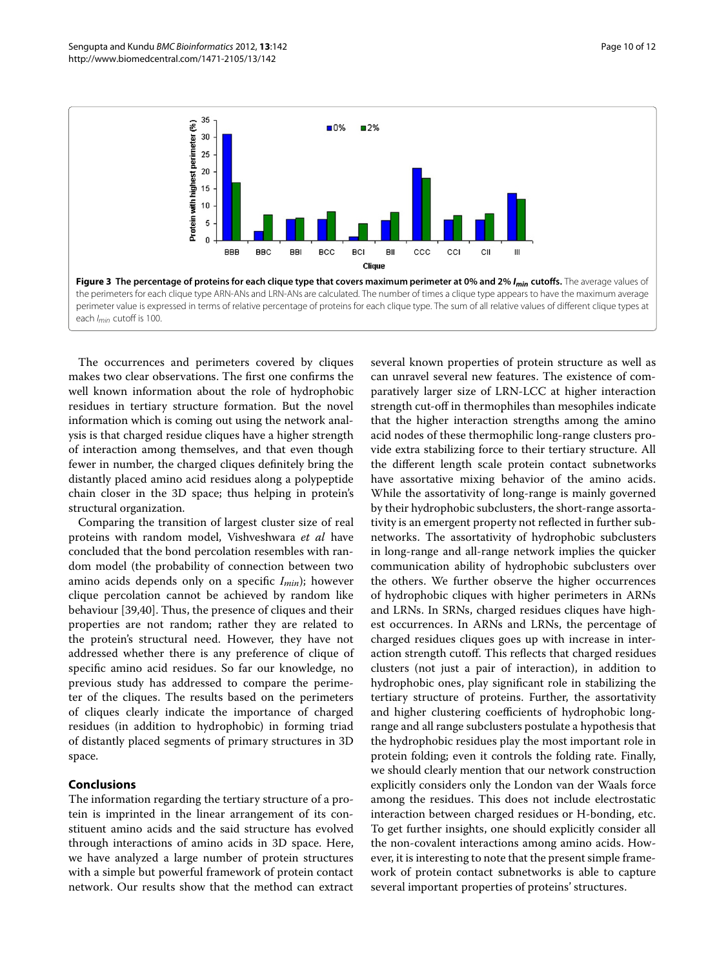

<span id="page-9-0"></span>The occurrences and perimeters covered by cliques makes two clear observations. The first one confirms the well known information about the role of hydrophobic residues in tertiary structure formation. But the novel information which is coming out using the network analysis is that charged residue cliques have a higher strength of interaction among themselves, and that even though fewer in number, the charged cliques definitely bring the distantly placed amino acid residues along a polypeptide chain closer in the 3D space; thus helping in protein's structural organization.

Comparing the transition of largest cluster size of real proteins with random model, Vishveshwara *et al* have concluded that the bond percolation resembles with random model (the probability of connection between two amino acids depends only on a specific *Imin*); however clique percolation cannot be achieved by random like behaviour [\[39](#page-11-4)[,40\]](#page-11-5). Thus, the presence of cliques and their properties are not random; rather they are related to the protein's structural need. However, they have not addressed whether there is any preference of clique of specific amino acid residues. So far our knowledge, no previous study has addressed to compare the perimeter of the cliques. The results based on the perimeters of cliques clearly indicate the importance of charged residues (in addition to hydrophobic) in forming triad of distantly placed segments of primary structures in 3D space.

## **Conclusions**

The information regarding the tertiary structure of a protein is imprinted in the linear arrangement of its constituent amino acids and the said structure has evolved through interactions of amino acids in 3D space. Here, we have analyzed a large number of protein structures with a simple but powerful framework of protein contact network. Our results show that the method can extract

several known properties of protein structure as well as can unravel several new features. The existence of comparatively larger size of LRN-LCC at higher interaction strength cut-off in thermophiles than mesophiles indicate that the higher interaction strengths among the amino acid nodes of these thermophilic long-range clusters provide extra stabilizing force to their tertiary structure. All the different length scale protein contact subnetworks have assortative mixing behavior of the amino acids. While the assortativity of long-range is mainly governed by their hydrophobic subclusters, the short-range assortativity is an emergent property not reflected in further subnetworks. The assortativity of hydrophobic subclusters in long-range and all-range network implies the quicker communication ability of hydrophobic subclusters over the others. We further observe the higher occurrences of hydrophobic cliques with higher perimeters in ARNs and LRNs. In SRNs, charged residues cliques have highest occurrences. In ARNs and LRNs, the percentage of charged residues cliques goes up with increase in interaction strength cutoff. This reflects that charged residues clusters (not just a pair of interaction), in addition to hydrophobic ones, play significant role in stabilizing the tertiary structure of proteins. Further, the assortativity and higher clustering coefficients of hydrophobic longrange and all range subclusters postulate a hypothesis that the hydrophobic residues play the most important role in protein folding; even it controls the folding rate. Finally, we should clearly mention that our network construction explicitly considers only the London van der Waals force among the residues. This does not include electrostatic interaction between charged residues or H-bonding, etc. To get further insights, one should explicitly consider all the non-covalent interactions among amino acids. However, it is interesting to note that the present simple framework of protein contact subnetworks is able to capture several important properties of proteins' structures.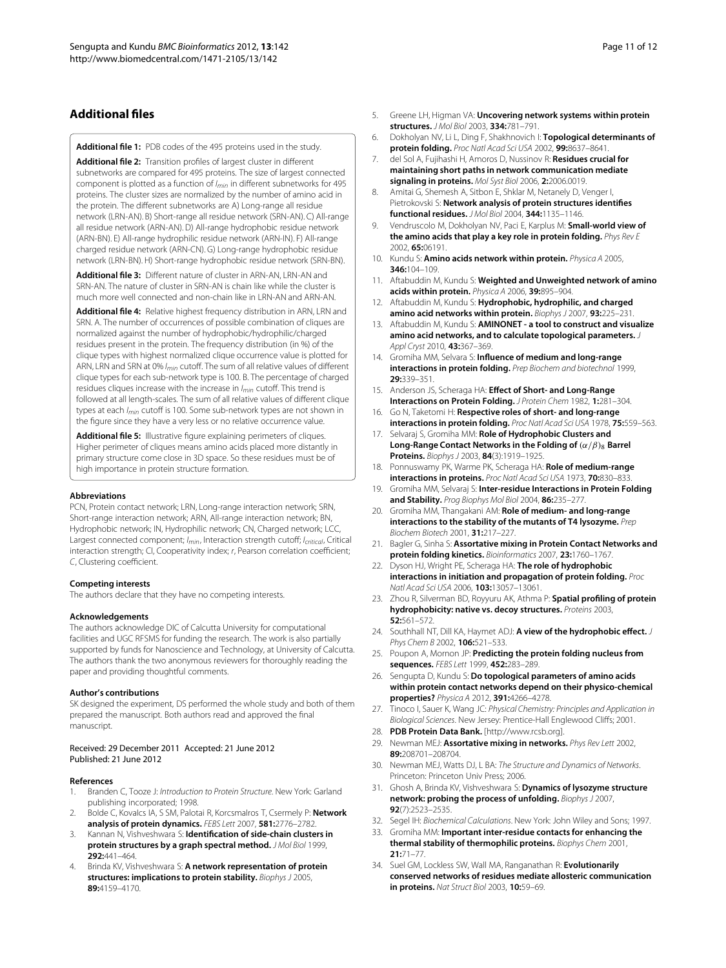## **Additional files**

<span id="page-10-20"></span>**[Additional file 1:](http://www.biomedcentral.com/content/supplementary/1471-2105-13-142-S1.pdf)** PDB codes of the 495 proteins used in the study.

<span id="page-10-24"></span>**[Additional file 2:](http://www.biomedcentral.com/content/supplementary/1471-2105-13-142-S2.pdf)** Transition profiles of largest cluster in different subnetworks are compared for 495 proteins. The size of largest connected component is plotted as a function of *Imin* in different subnetworks for 495 proteins. The cluster sizes are normalized by the number of amino acid in the protein. The different subnetworks are A) Long-range all residue network (LRN-AN). B) Short-range all residue network (SRN-AN). C) All-range all residue network (ARN-AN). D) All-range hydrophobic residue network (ARN-BN). E) All-range hydrophilic residue network (ARN-IN). F) All-range charged residue network (ARN-CN). G) Long-range hydrophobic residue network (LRN-BN). H) Short-range hydrophobic residue network (SRN-BN).

<span id="page-10-25"></span>**[Additional file 3:](http://www.biomedcentral.com/content/supplementary/1471-2105-13-142-S3.pdf)** Different nature of cluster in ARN-AN, LRN-AN and SRN-AN. The nature of cluster in SRN-AN is chain like while the cluster is much more well connected and non-chain like in LRN-AN and ARN-AN.

<span id="page-10-29"></span>**[Additional file 4:](http://www.biomedcentral.com/content/supplementary/1471-2105-13-142-S4.jpeg)** Relative highest frequency distribution in ARN, LRN and SRN. A. The number of occurrences of possible combination of cliques are normalized against the number of hydrophobic/hydrophilic/charged residues present in the protein. The frequency distribution (in %) of the clique types with highest normalized clique occurrence value is plotted for ARN, LRN and SRN at 0% *Imin* cutoff. The sum of all relative values of different clique types for each sub-network type is 100. B. The percentage of charged residues cliques increase with the increase in *Imin* cutoff. This trend is followed at all length-scales. The sum of all relative values of different clique types at each *Imin* cutoff is 100. Some sub-network types are not shown in the figure since they have a very less or no relative occurrence value.

<span id="page-10-30"></span>**[Additional file 5:](http://www.biomedcentral.com/content/supplementary/1471-2105-13-142-S5.pdf)** Illustrative figure explaining perimeters of cliques. Higher perimeter of cliques means amino acids placed more distantly in primary structure come close in 3D space. So these residues must be of high importance in protein structure formation.

#### **Abbreviations**

PCN, Protein contact network; LRN, Long-range interaction network; SRN, Short-range interaction network; ARN, All-range interaction network; BN, Hydrophobic network; IN, Hydrophilic network; CN, Charged network; LCC, Largest connected component; *Imin*, Interaction strength cutoff; *Icritical*, Critical interaction strength; CI, Cooperativity index; *r*, Pearson correlation coefficient; *C*, Clustering coefficient.

#### **Competing interests**

The authors declare that they have no competing interests.

#### **Acknowledgements**

The authors acknowledge DIC of Calcutta University for computational facilities and UGC RFSMS for funding the research. The work is also partially supported by funds for Nanoscience and Technology, at University of Calcutta. The authors thank the two anonymous reviewers for thoroughly reading the paper and providing thoughtful comments.

#### **Author's contributions**

SK designed the experiment, DS performed the whole study and both of them prepared the manuscript. Both authors read and approved the final manuscript.

#### Received: 29 December 2011 Accepted: 21 June 2012 Published: 21 June 2012

#### **References**

- <span id="page-10-0"></span>1. Branden C, Tooze J: *Introduction to Protein Structure*. New York: Garland publishing incorporated; 1998.
- <span id="page-10-1"></span>2. BoIde C, KovaIcs IA, S SM, Palotai R, KorcsmaIros T, Csermely P: **Network analysis of protein dynamics.** *FEBS Lett* 2007, **581:**2776–2782.
- <span id="page-10-18"></span>3. Kannan N, Vishveshwara S: **Identification of side-chain clusters in protein structures by a graph spectral method.** *J Mol Biol* 1999, **292:**441–464.
- <span id="page-10-16"></span>4. Brinda KV, Vishveshwara S: **A network representation of protein structures: implications to protein stability.** *Biophys J* 2005, **89:**4159–4170.
- <span id="page-10-2"></span>5. Greene LH, Higman VA: **Uncovering network systems within protein structures.** *J Mol Biol* 2003, **334:**781–791.
- <span id="page-10-3"></span>6. Dokholyan NV, Li L, Ding F, Shakhnovich I: **Topological determinants of protein folding.** *Proc Natl Acad Sci USA* 2002, **99:**8637–8641.
- 7. del Sol A, Fujihashi H, Amoros D, Nussinov R: **Residues crucial for maintaining short paths in network communication mediate signaling in proteins.** *Mol Syst Biol* 2006, **2:**2006.0019.
- 8. Amitai G, Shemesh A, Sitbon E, Shklar M, Netanely D, Venger I, Pietrokovski S: **Network analysis of protein structures identifies functional residues.** *J Mol Biol* 2004, **344:**1135–1146.
- 9. Vendruscolo M, Dokholyan NV, Paci E, Karplus M: **Small-world view of the amino acids that play a key role in protein folding.** *Phys Rev E* 2002, **65:**06191.
- 10. Kundu S: **Amino acids network within protein.** *Physica A* 2005, **346:**104–109.
- 11. Aftabuddin M, Kundu S: **Weighted and Unweighted network of amino acids within protein.** *Physica A* 2006, **39:**895–904.
- <span id="page-10-4"></span>12. Aftabuddin M, Kundu S: **Hydrophobic, hydrophilic, and charged amino acid networks within protein.** *Biophys J* 2007, **93:**225–231.
- <span id="page-10-5"></span>13. Aftabuddin M, Kundu S: **AMINONET - a tool to construct and visualize amino acid networks, and to calculate topological parameters.** *J Appl Cryst* 2010, **43:**367–369.
- <span id="page-10-6"></span>14. Gromiha MM, Selvara S: **Influence of medium and long-range interactions in protein folding.** *Prep Biochem and biotechnol* 1999, **29:**339–351.
- <span id="page-10-8"></span>15. Anderson JS, Scheraga HA: **Effect of Short- and Long-Range Interactions on Protein Folding.** *J Protein Chem* 1982, **1:**281–304.
- 16. Go N, Taketomi H: **Respective roles of short- and long-range interactions in protein folding.** *Proc Natl Acad Sci USA* 1978, **75:**559–563.
- <span id="page-10-12"></span>17. Selvaraj S, Gromiha MM: **Role of Hydrophobic Clusters and Long-Range Contact Networks in the Folding of** (α/β)<sup>8</sup> **Barrel Proteins.** *Biophys J* 2003, **84**(3):1919–1925.
- 18. Ponnuswamy PK, Warme PK, Scheraga HA: **Role of medium-range interactions in proteins.** *Proc Natl Acad Sci USA* 1973, **70:**830–833.
- <span id="page-10-13"></span>19. Gromiha MM, Selvaraj S: **Inter-residue Interactions in Protein Folding and Stability.** *Prog Biophys Mol Biol* 2004, **86:**235–277.
- <span id="page-10-7"></span>20. Gromiha MM, Thangakani AM: **Role of medium- and long-range interactions to the stability of the mutants of T4 lysozyme.** *Prep Biochem Biotech* 2001, **31:**217–227.
- <span id="page-10-9"></span>21. Bagler G, Sinha S: **Assortative mixing in Protein Contact Networks and protein folding kinetics.** *Bioinformatics* 2007, **23:**1760–1767.
- <span id="page-10-10"></span>22. Dyson HJ, Wright PE, Scheraga HA: **The role of hydrophobic interactions in initiation and propagation of protein folding.** *Proc Natl Acad Sci USA* 2006, **103:**13057–13061.
- 23. Zhou R, Silverman BD, Royyuru AK, Athma P: **Spatial profiling of protein hydrophobicity: native vs. decoy structures.** *Proteins* 2003, **52:**561–572.
- <span id="page-10-11"></span>24. Southhall NT, Dill KA, Haymet ADJ: **A view of the hydrophobic effect.** *J Phys Chem B* 2002, **106:**521–533.
- <span id="page-10-14"></span>25. Poupon A, Mornon JP: **Predicting the protein folding nucleus from sequences.** *FEBS Lett* 1999, **452:**283–289.
- <span id="page-10-15"></span>26. Sengupta D, Kundu S: **Do topological parameters of amino acids within protein contact networks depend on their physico-chemical properties?** *Physica A* 2012, **391:**4266–4278.
- <span id="page-10-17"></span>27. Tinoco I, Sauer K, Wang JC: *Physical Chemistry: Principles and Application in Biological Sciences*. New Jersey: Prentice-Hall Englewood Cliffs; 2001.
- <span id="page-10-19"></span>28. **PDB Protein Data Bank.** [\[http://www.rcsb.org\]](http://www.rcsb.org).
- <span id="page-10-21"></span>29. Newman MEJ: **Assortative mixing in networks.** *Phys Rev Lett* 2002, **89:**208701–208704.
- <span id="page-10-22"></span>30. Newman MEJ, Watts DJ, L BA: *The Structure and Dynamics of Networks*. Princeton: Princeton Univ Press; 2006.
- <span id="page-10-23"></span>31. Ghosh A, Brinda KV, Vishveshwara S: **Dynamics of lysozyme structure network: probing the process of unfolding.** *Biophys J* 2007, **92**(7):2523–2535.
- <span id="page-10-26"></span>32. Segel IH: *Biochemical Calculations*. New York: John Wiley and Sons; 1997.
- <span id="page-10-27"></span>33. Gromiha MM: **Important inter-residue contacts for enhancing the thermal stability of thermophilic proteins.** *Biophys Chem* 2001, **21:**71–77.
- <span id="page-10-28"></span>34. Suel GM, Lockless SW, Wall MA, Ranganathan R: **Evolutionarily conserved networks of residues mediate allosteric communication in proteins.** *Nat Struct Biol* 2003, **10:**59–69.